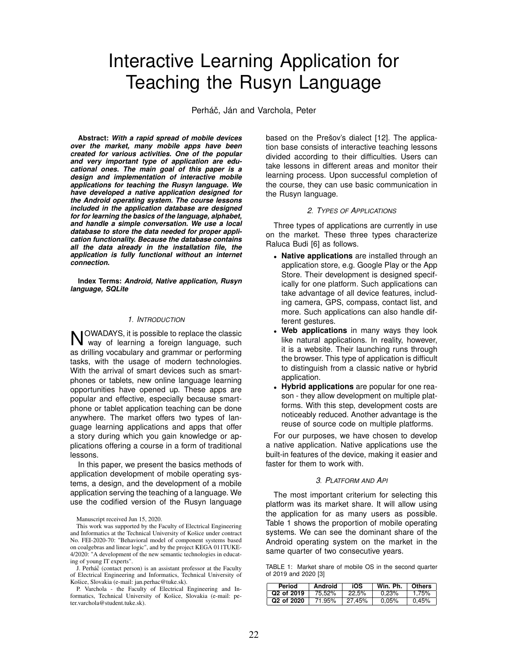# Interactive Learning Application for Teaching the Rusyn Language

Perháč, Ján and Varchola, Peter

**Abstract:** *With a rapid spread of mobile devices over the market, many mobile apps have been created for various activities. One of the popular and very important type of application are educational ones. The main goal of this paper is a design and implementation of interactive mobile applications for teaching the Rusyn language. We have developed a native application designed for the Android operating system. The course lessons included in the application database are designed for for learning the basics of the language, alphabet, and handle a simple conversation. We use a local database to store the data needed for proper application functionality. Because the database contains all the data already in the installation file, the application is fully functional without an internet connection.*

**Index Terms:** *Android, Native application, Rusyn language, SQLite*

#### *1. INTRODUCTION*

NOWADAYS, it is possible to replace the classic<br>Noway of learning a foreign language, such OWADAYS, it is possible to replace the classic as drilling vocabulary and grammar or performing tasks, with the usage of modern technologies. With the arrival of smart devices such as smartphones or tablets, new online language learning opportunities have opened up. These apps are popular and effective, especially because smartphone or tablet application teaching can be done anywhere. The market offers two types of language learning applications and apps that offer a story during which you gain knowledge or applications offering a course in a form of traditional lessons.

In this paper, we present the basics methods of application development of mobile operating systems, a design, and the development of a mobile application serving the teaching of a language. We use the codified version of the Rusyn language

Manuscript received Jun 15, 2020.

J. Perháč (contact person) is an assistant professor at the Faculty of Electrical Engineering and Informatics, Technical University of Košice, Slovakia (e-mail: jan.perhac@tuke.sk).

P. Varchola - the Faculty of Electrical Engineering and Informatics, Technical University of Košice, Slovakia (e-mail: peter.varchola@student.tuke.sk).

based on the Prešov's dialect [12]. The application base consists of interactive teaching lessons divided according to their difficulties. Users can take lessons in different areas and monitor their learning process. Upon successful completion of the course, they can use basic communication in the Rusyn language.

#### *2. TYPES OF APPLICATIONS*

Three types of applications are currently in use on the market. These three types characterize Raluca Budi [6] as follows.

- **Native applications** are installed through an application store, e.g. Google Play or the App Store. Their development is designed specifically for one platform. Such applications can take advantage of all device features, including camera, GPS, compass, contact list, and more. Such applications can also handle different gestures.
- **Web applications** in many ways they look like natural applications. In reality, however, it is a website. Their launching runs through the browser. This type of application is difficult to distinguish from a classic native or hybrid application.
- **Hybrid applications** are popular for one reason - they allow development on multiple platforms. With this step, development costs are noticeably reduced. Another advantage is the reuse of source code on multiple platforms.

For our purposes, we have chosen to develop a native application. Native applications use the built-in features of the device, making it easier and faster for them to work with.

## *3. PLATFORM AND API*

The most important criterium for selecting this platform was its market share. It will allow using the application for as many users as possible. Table 1 shows the proportion of mobile operating systems. We can see the dominant share of the Android operating system on the market in the same quarter of two consecutive years.

TABLE 1: Market share of mobile OS in the second quarter of 2019 and 2020 [3]

| Period                 | Android | iOS    | Win. Ph. | <b>Others</b> |
|------------------------|---------|--------|----------|---------------|
| Q <sub>2</sub> of 2019 | 75.52%  | 22.5%  | 0.23%    | 1.75%         |
| Q <sub>2</sub> of 2020 | 71.95%  | 27.45% | 0.05%    | 0.45%         |

This work was supported by the Faculty of Electrical Engineering and Informatics at the Technical University of Košice under contract No. FEI-2020-70: "Behavioral model of component systems based on coalgebras and linear logic", and by the project KEGA 011TUKE-4/2020: "A development of the new semantic technologies in educating of young IT experts".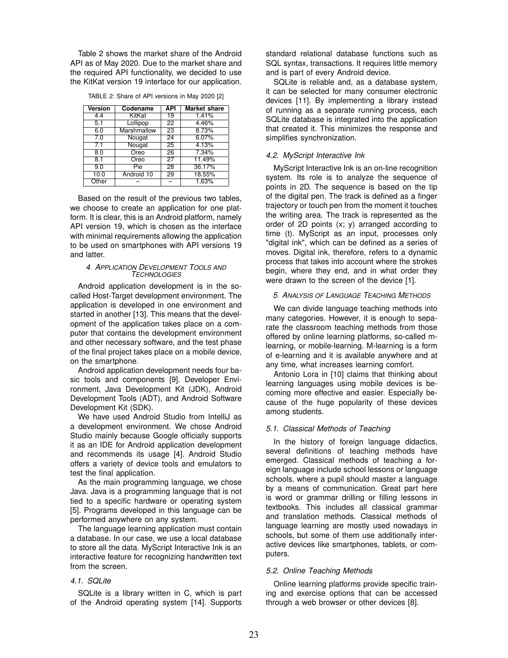Table 2 shows the market share of the Android API as of May 2020. Due to the market share and the required API functionality, we decided to use the KitKat version 19 interface for our application.

| Version | Codename    | API             | <b>Market share</b> |
|---------|-------------|-----------------|---------------------|
| 4.4     | KitKat      | 19              | 1.41%               |
| 5.1     | Lollipop    | $\overline{22}$ | 4.46%               |
| 6.0     | Marshmallow | 23              | 8.73%               |
| 7.0     | Nougat      | 24              | 6.07%               |
| 7.1     | Nougat      | 25              | 4.13%               |
| 8.0     | Oreo        | 26              | 7.34%               |
| 8.1     | Oreo        | 27              | 11.49%              |
| 9.0     | Pie         | 28              | 36.17%              |
| 10.0    | Android 10  | 29              | 18.55%              |
| Other   |             |                 | 1,63%               |

TABLE 2: Share of API versions in May 2020 [2]

Based on the result of the previous two tables, we choose to create an application for one platform. It is clear, this is an Android platform, namely API version 19, which is chosen as the interface with minimal requirements allowing the application to be used on smartphones with API versions 19 and latter.

#### *4. APPLICATION DEVELOPMENT TOOLS AND TECHNOLOGIES*

Android application development is in the socalled Host-Target development environment. The application is developed in one environment and started in another [13]. This means that the development of the application takes place on a computer that contains the development environment and other necessary software, and the test phase of the final project takes place on a mobile device, on the smartphone.

Android application development needs four basic tools and components [9]. Developer Environment, Java Development Kit (JDK), Android Development Tools (ADT), and Android Software Development Kit (SDK).

We have used Android Studio from IntelliJ as a development environment. We chose Android Studio mainly because Google officially supports it as an IDE for Android application development and recommends its usage [4]. Android Studio offers a variety of device tools and emulators to test the final application.

As the main programming language, we chose Java. Java is a programming language that is not tied to a specific hardware or operating system [5]. Programs developed in this language can be performed anywhere on any system.

The language learning application must contain a database. In our case, we use a local database to store all the data. MyScript Interactive Ink is an interactive feature for recognizing handwritten text from the screen.

## *4.1. SQLite*

SQLite is a library written in C, which is part of the Android operating system [14]. Supports standard relational database functions such as SQL syntax, transactions. It requires little memory and is part of every Android device.

SQLite is reliable and, as a database system, it can be selected for many consumer electronic devices [11]. By implementing a library instead of running as a separate running process, each SQLite database is integrated into the application that created it. This minimizes the response and simplifies synchronization.

# *4.2. MyScript Interactive Ink*

MyScript Interactive Ink is an on-line recognition system. Its role is to analyze the sequence of points in 2D. The sequence is based on the tip of the digital pen. The track is defined as a finger trajectory or touch pen from the moment it touches the writing area. The track is represented as the order of 2D points (x; y) arranged according to time (t). MyScript as an input, processes only "digital ink", which can be defined as a series of moves. Digital ink, therefore, refers to a dynamic process that takes into account where the strokes begin, where they end, and in what order they were drawn to the screen of the device [1].

#### *5. ANALYSIS OF LANGUAGE TEACHING METHODS*

We can divide language teaching methods into many categories. However, it is enough to separate the classroom teaching methods from those offered by online learning platforms, so-called mlearning, or mobile-learning. M-learning is a form of e-learning and it is available anywhere and at any time, what increases learning comfort.

Antonio Lora in [10] claims that thinking about learning languages using mobile devices is becoming more effective and easier. Especially because of the huge popularity of these devices among students.

## *5.1. Classical Methods of Teaching*

In the history of foreign language didactics, several definitions of teaching methods have emerged. Classical methods of teaching a foreign language include school lessons or language schools, where a pupil should master a language by a means of communication. Great part here is word or grammar drilling or filling lessons in textbooks. This includes all classical grammar and translation methods. Classical methods of language learning are mostly used nowadays in schools, but some of them use additionally interactive devices like smartphones, tablets, or computers.

#### *5.2. Online Teaching Methods*

Online learning platforms provide specific training and exercise options that can be accessed through a web browser or other devices [8].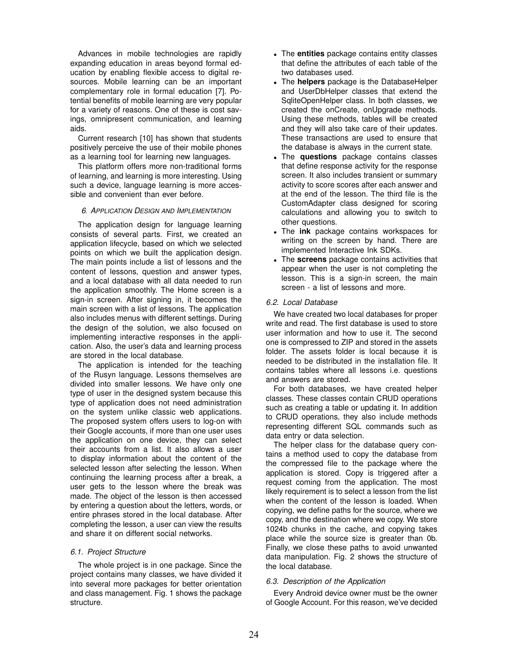Advances in mobile technologies are rapidly expanding education in areas beyond formal education by enabling flexible access to digital resources. Mobile learning can be an important complementary role in formal education [7]. Potential benefits of mobile learning are very popular for a variety of reasons. One of these is cost savings, omnipresent communication, and learning aids.

Current research [10] has shown that students positively perceive the use of their mobile phones as a learning tool for learning new languages.

This platform offers more non-traditional forms of learning, and learning is more interesting. Using such a device, language learning is more accessible and convenient than ever before.

## *6. APPLICATION DESIGN AND IMPLEMENTATION*

The application design for language learning consists of several parts. First, we created an application lifecycle, based on which we selected points on which we built the application design. The main points include a list of lessons and the content of lessons, question and answer types, and a local database with all data needed to run the application smoothly. The Home screen is a sign-in screen. After signing in, it becomes the main screen with a list of lessons. The application also includes menus with different settings. During the design of the solution, we also focused on implementing interactive responses in the application. Also, the user's data and learning process are stored in the local database.

The application is intended for the teaching of the Rusyn language. Lessons themselves are divided into smaller lessons. We have only one type of user in the designed system because this type of application does not need administration on the system unlike classic web applications. The proposed system offers users to log-on with their Google accounts, if more than one user uses the application on one device, they can select their accounts from a list. It also allows a user to display information about the content of the selected lesson after selecting the lesson. When continuing the learning process after a break, a user gets to the lesson where the break was made. The object of the lesson is then accessed by entering a question about the letters, words, or entire phrases stored in the local database. After completing the lesson, a user can view the results and share it on different social networks.

# *6.1. Project Structure*

The whole project is in one package. Since the project contains many classes, we have divided it into several more packages for better orientation and class management. Fig. 1 shows the package structure.

- The **entities** package contains entity classes that define the attributes of each table of the two databases used.
- The **helpers** package is the DatabaseHelper and UserDbHelper classes that extend the SqliteOpenHelper class. In both classes, we created the onCreate, onUpgrade methods. Using these methods, tables will be created and they will also take care of their updates. These transactions are used to ensure that the database is always in the current state.
- The **questions** package contains classes that define response activity for the response screen. It also includes transient or summary activity to score scores after each answer and at the end of the lesson. The third file is the CustomAdapter class designed for scoring calculations and allowing you to switch to other questions.
- The **ink** package contains workspaces for writing on the screen by hand. There are implemented Interactive Ink SDKs.
- The **screens** package contains activities that appear when the user is not completing the lesson. This is a sign-in screen, the main screen - a list of lessons and more.

### *6.2. Local Database*

We have created two local databases for proper write and read. The first database is used to store user information and how to use it. The second one is compressed to ZIP and stored in the assets folder. The assets folder is local because it is needed to be distributed in the installation file. It contains tables where all lessons i.e. questions and answers are stored.

For both databases, we have created helper classes. These classes contain CRUD operations such as creating a table or updating it. In addition to CRUD operations, they also include methods representing different SQL commands such as data entry or data selection.

The helper class for the database query contains a method used to copy the database from the compressed file to the package where the application is stored. Copy is triggered after a request coming from the application. The most likely requirement is to select a lesson from the list when the content of the lesson is loaded. When copying, we define paths for the source, where we copy, and the destination where we copy. We store 1024b chunks in the cache, and copying takes place while the source size is greater than 0b. Finally, we close these paths to avoid unwanted data manipulation. Fig. 2 shows the structure of the local database.

# *6.3. Description of the Application*

Every Android device owner must be the owner of Google Account. For this reason, we've decided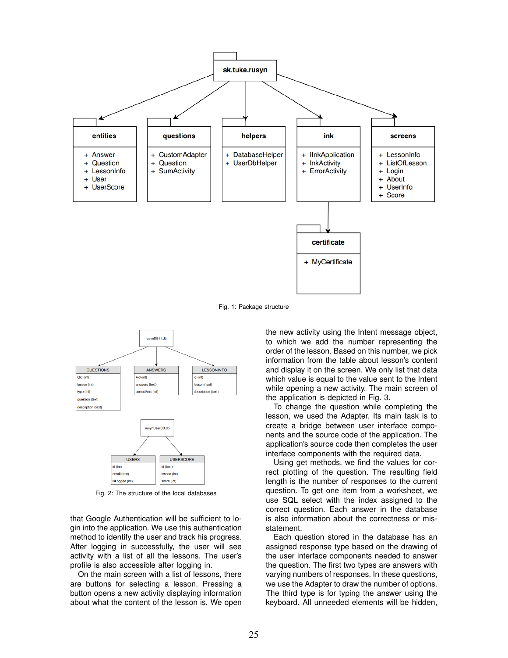

Fig. 1: Package structure



Fig. 2: The structure of the local databases

that Google Authentication will be sufficient to login into the application. We use this authentication method to identify the user and track his progress. After logging in successfully, the user will see activity with a list of all the lessons. The user's profile is also accessible after logging in.

On the main screen with a list of lessons, there are buttons for selecting a lesson. Pressing a button opens a new activity displaying information about what the content of the lesson is. We open the new activity using the Intent message object, to which we add the number representing the order of the lesson. Based on this number, we pick information from the table about lesson's content and display it on the screen. We only list that data which value is equal to the value sent to the Intent while opening a new activity. The main screen of the application is depicted in Fig. 3.

To change the question while completing the lesson, we used the Adapter. Its main task is to create a bridge between user interface components and the source code of the application. The application's source code then completes the user interface components with the required data.

Using get methods, we find the values for correct plotting of the question. The resulting field length is the number of responses to the current question. To get one item from a worksheet, we use SQL select with the index assigned to the correct question. Each answer in the database is also information about the correctness or misstatement.

Each question stored in the database has an assigned response type based on the drawing of the user interface components needed to answer the question. The first two types are answers with varying numbers of responses. In these questions, we use the Adapter to draw the number of options. The third type is for typing the answer using the keyboard. All unneeded elements will be hidden,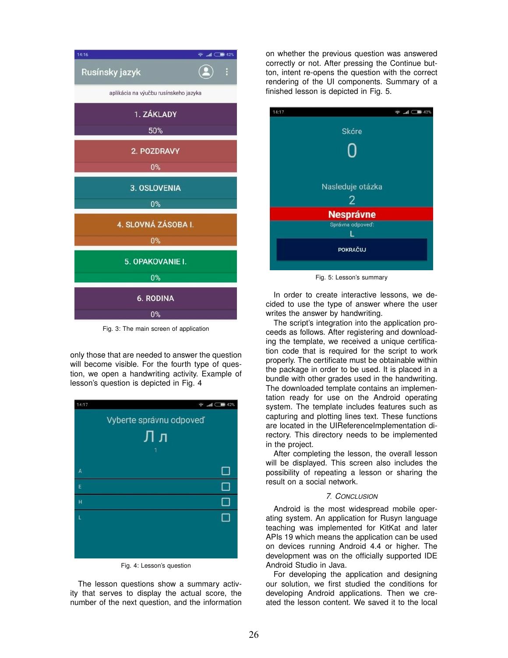

Fig. 3: The main screen of application

only those that are needed to answer the question will become visible. For the fourth type of question, we open a handwriting activity. Example of lesson's question is depicted in Fig. 4



Fig. 4: Lesson's question

The lesson questions show a summary activity that serves to display the actual score, the number of the next question, and the information on whether the previous question was answered correctly or not. After pressing the Continue button, intent re-opens the question with the correct rendering of the UI components. Summary of a finished lesson is depicted in Fig. 5.



Fig. 5: Lesson's summary

In order to create interactive lessons, we decided to use the type of answer where the user writes the answer by handwriting.

The script's integration into the application proceeds as follows. After registering and downloading the template, we received a unique certification code that is required for the script to work properly. The certificate must be obtainable within the package in order to be used. It is placed in a bundle with other grades used in the handwriting. The downloaded template contains an implementation ready for use on the Android operating system. The template includes features such as capturing and plotting lines text. These functions are located in the UIReferenceImplementation directory. This directory needs to be implemented in the project.

After completing the lesson, the overall lesson will be displayed. This screen also includes the possibility of repeating a lesson or sharing the result on a social network.

### *7. CONCLUSION*

Android is the most widespread mobile operating system. An application for Rusyn language teaching was implemented for KitKat and later APIs 19 which means the application can be used on devices running Android 4.4 or higher. The development was on the officially supported IDE Android Studio in Java.

For developing the application and designing our solution, we first studied the conditions for developing Android applications. Then we created the lesson content. We saved it to the local